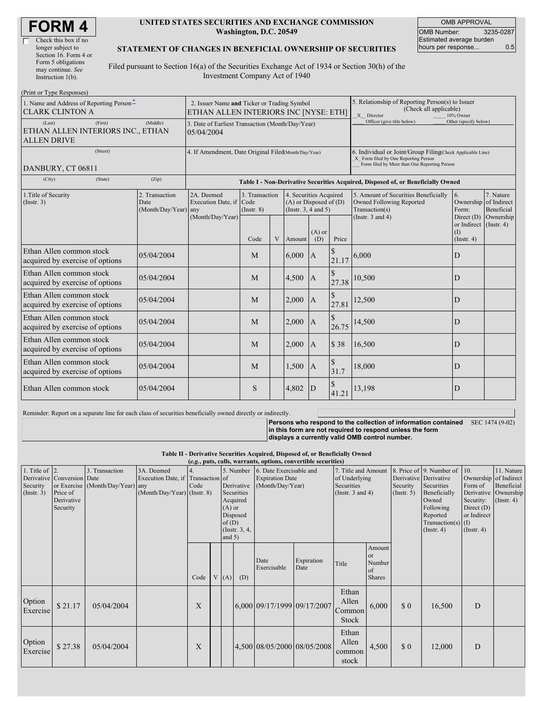| <b>FORM4</b> |
|--------------|
|--------------|

| Check this box if no  |
|-----------------------|
| longer subject to     |
| Section 16. Form 4 or |
| Form 5 obligations    |
| may continue. See     |
| Instruction 1(b).     |
|                       |

#### **UNITED STATES SECURITIES AND EXCHANGE COMMISSION Washington, D.C. 20549**

OMB APPROVAL OMB Number: 3235-0287 Estimated average burden hours per response... 0.5

#### **STATEMENT OF CHANGES IN BENEFICIAL OWNERSHIP OF SECURITIES**

Filed pursuant to Section 16(a) of the Securities Exchange Act of 1934 or Section 30(h) of the Investment Company Act of 1940

| (Print or Type Responses)                                                                |                                                                                      |                                                                                  |                 |                |        |                                                                                                                                                    |                            |                                                                                                             |                                              |                                                               |
|------------------------------------------------------------------------------------------|--------------------------------------------------------------------------------------|----------------------------------------------------------------------------------|-----------------|----------------|--------|----------------------------------------------------------------------------------------------------------------------------------------------------|----------------------------|-------------------------------------------------------------------------------------------------------------|----------------------------------------------|---------------------------------------------------------------|
| 1. Name and Address of Reporting Person-<br><b>CLARK CLINTON A</b>                       | 2. Issuer Name and Ticker or Trading Symbol<br>ETHAN ALLEN INTERIORS INC [NYSE: ETH] |                                                                                  |                 |                |        | 5. Relationship of Reporting Person(s) to Issuer<br>(Check all applicable)<br>X Director                                                           | 10% Owner                  |                                                                                                             |                                              |                                                               |
| (Middle)<br>(Last)<br>(First)<br>ETHAN ALLEN INTERIORS INC., ETHAN<br><b>ALLEN DRIVE</b> |                                                                                      | 3. Date of Earliest Transaction (Month/Day/Year)<br>05/04/2004                   |                 |                |        |                                                                                                                                                    | Officer (give title below) | Other (specify below)                                                                                       |                                              |                                                               |
| (Street)<br>DANBURY, CT 06811                                                            | 4. If Amendment, Date Original Filed(Month/Day/Year)                                 |                                                                                  |                 |                |        | 6. Individual or Joint/Group Filing(Check Applicable Line)<br>X Form filed by One Reporting Person<br>Form filed by More than One Reporting Person |                            |                                                                                                             |                                              |                                                               |
| (City)<br>(State)                                                                        | (Zip)                                                                                | Table I - Non-Derivative Securities Acquired, Disposed of, or Beneficially Owned |                 |                |        |                                                                                                                                                    |                            |                                                                                                             |                                              |                                                               |
| 1. Title of Security<br>2. Transaction<br>(Insert. 3)<br>Date<br>(Month/Day/Year)        |                                                                                      | 2A. Deemed<br>Execution Date, if Code<br>any<br>(Month/Day/Year)                 | $($ Instr. $8)$ | 3. Transaction |        | 4. Securities Acquired<br>$(A)$ or Disposed of $(D)$<br>(Instr. $3, 4$ and $5$ )                                                                   |                            | 5. Amount of Securities Beneficially<br>Owned Following Reported<br>Transaction(s)<br>(Instr. $3$ and $4$ ) | 6.<br>Form:<br>Direct $(D)$                  | 7. Nature<br>Ownership of Indirect<br>Beneficial<br>Ownership |
|                                                                                          |                                                                                      |                                                                                  | Code            | V              | Amount | $(A)$ or<br>(D)                                                                                                                                    | Price                      |                                                                                                             | or Indirect (Instr. 4)<br>(I)<br>(Insert. 4) |                                                               |
| Ethan Allen common stock<br>acquired by exercise of options                              | 05/04/2004                                                                           |                                                                                  | M               |                | 6,000  | $\mathbf{A}$                                                                                                                                       | 21.17                      | 6,000                                                                                                       | D                                            |                                                               |
| Ethan Allen common stock<br>acquired by exercise of options                              | 05/04/2004                                                                           |                                                                                  | M               |                | 4,500  | $\overline{A}$                                                                                                                                     | 27.38                      | 10,500                                                                                                      | D                                            |                                                               |
| Ethan Allen common stock<br>acquired by exercise of options                              | 05/04/2004                                                                           |                                                                                  | M               |                | 2,000  | $\mathbf{A}$                                                                                                                                       | 27.81                      | 12,500                                                                                                      | D                                            |                                                               |
| Ethan Allen common stock<br>acquired by exercise of options                              | 05/04/2004                                                                           |                                                                                  | M               |                | 2,000  | $\mathsf{A}$                                                                                                                                       | 26.75                      | 14,500                                                                                                      | D                                            |                                                               |
| Ethan Allen common stock<br>acquired by exercise of options                              | 05/04/2004                                                                           |                                                                                  | M               |                | 2,000  | A                                                                                                                                                  | \$38                       | 16,500                                                                                                      | D                                            |                                                               |
| Ethan Allen common stock<br>acquired by exercise of options                              | 05/04/2004                                                                           |                                                                                  | M               |                | 1,500  | A                                                                                                                                                  | 31.7                       | 18,000                                                                                                      | D                                            |                                                               |
| Ethan Allen common stock                                                                 | 05/04/2004                                                                           |                                                                                  | S               |                | 4,802  | D                                                                                                                                                  | 41.21                      | 13,198                                                                                                      | D                                            |                                                               |

Reminder: Report on a separate line for each class of securities beneficially owned directly or indirectly.

**Persons who respond to the collection of information contained in this form are not required to respond unless the form displays a currently valid OMB control number.** SEC 1474 (9-02)

**Table II - Derivative Securities Acquired, Disposed of, or Beneficially Owned**

| (e.g., puts, calls, warrants, options, convertible securities) |                                                                  |                                                    |                                                                                  |            |  |                               |                                                                                                                                                         |                             |                                                                             |                                          |                                                  |                                                                                                                                      |                                                                                                         |                                                                      |  |
|----------------------------------------------------------------|------------------------------------------------------------------|----------------------------------------------------|----------------------------------------------------------------------------------|------------|--|-------------------------------|---------------------------------------------------------------------------------------------------------------------------------------------------------|-----------------------------|-----------------------------------------------------------------------------|------------------------------------------|--------------------------------------------------|--------------------------------------------------------------------------------------------------------------------------------------|---------------------------------------------------------------------------------------------------------|----------------------------------------------------------------------|--|
| 1. Title of $\vert$ 2.<br>Security<br>(Insert. 3)              | Derivative Conversion Date<br>Price of<br>Derivative<br>Security | 3. Transaction<br>or Exercise (Month/Day/Year) any | 3A. Deemed<br>Execution Date, if Transaction of<br>$(Month/Day/Year)$ (Instr. 8) | 4.<br>Code |  | $(A)$ or<br>of(D)<br>and $5)$ | 5. Number<br>6. Date Exercisable and<br><b>Expiration Date</b><br>Derivative<br>(Month/Day/Year)<br>Securities<br>Acquired<br>Disposed<br>(Instr. 3, 4, |                             | 7. Title and Amount<br>of Underlying<br>Securities<br>(Instr. $3$ and $4$ ) |                                          | Derivative Derivative<br>Security<br>(Insert. 5) | 8. Price of 9. Number of<br>Securities<br>Beneficially<br>Owned<br>Following<br>Reported<br>Transaction(s) $(I)$<br>$($ Instr. 4 $)$ | 10.<br>Ownership of Indirect<br>Form of<br>Security:<br>Direct $(D)$<br>or Indirect<br>$($ Instr. 4 $)$ | 11. Nature<br>Beneficial<br>Derivative Ownership<br>$($ Instr. 4 $)$ |  |
|                                                                |                                                                  |                                                    |                                                                                  | Code       |  | V(A)                          | (D)                                                                                                                                                     | Date<br>Exercisable         | Expiration<br>Date                                                          | Title                                    | Amount<br>or<br>Number<br>of<br><b>Shares</b>    |                                                                                                                                      |                                                                                                         |                                                                      |  |
| Option<br>Exercise                                             | \$21.17                                                          | 05/04/2004                                         |                                                                                  | X          |  |                               |                                                                                                                                                         | 6,000 09/17/1999 09/17/2007 |                                                                             | Ethan<br>Allen<br>Common<br><b>Stock</b> | 6,000                                            | $\boldsymbol{\mathsf{S}}$ 0                                                                                                          | 16,500                                                                                                  | D                                                                    |  |
| Option<br>Exercise                                             | \$27.38                                                          | 05/04/2004                                         |                                                                                  | X          |  |                               |                                                                                                                                                         |                             | 4,500 08/05/2000 08/05/2008                                                 | Ethan<br>Allen<br>common<br>stock        | 4,500                                            | $\boldsymbol{\mathsf{S}}\boldsymbol{\mathsf{0}}$                                                                                     | 12,000                                                                                                  | D                                                                    |  |